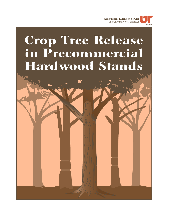

# **Crop Tree Release** in Precommercial Hardwood Stands W. S. William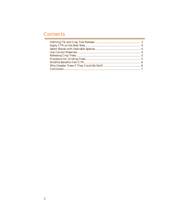### Contents

٠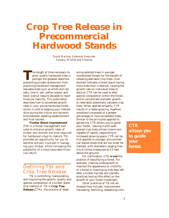## **Crop Tree Release in Precommercial Hardwood Stands**

*David Mercker, Extension Associate Forestry, Wildlife and Fisheries*

The length of time necessary type grow quality hardwood trees<br>perhaps the greatest deterrer<br>preventing private landowners from he length of time necessary to grow quality hardwood trees is perhaps the greatest deterrent practicing hardwood management. Valuable trees such as white and red oaks, cherry, ash, yellow poplar and black walnut require decades to reach financial maturity. This publication describes how to accelerate growth rates in your young hardwood forest, which is vital to keeping your interest alive during the critical and dynamic time between seedling establishment and final harvest.

**Timber Stand Improvement** (TSI) is a forest management tool used to enhance growth rates of timber and shorten the time required for hardwood crops to mature. TSI provides an opportunity for you to become actively involved in managing your timber, while increasing the possibility of a more favorable financial return.

#### Defining TSI and Crop Tree Release

TSI is controlling, manipulating and improving the growth, quality and species composition of a timber stand. One method of TSI is **Crop Tree Release** (CTR), the practice of deadening selected trees in younger, overstocked forests for the benefit of releasing desirable crop trees. Overstocked indicates a forest stand having more trees than is desired, causing the growth rate on individual trees to decline. CTR can be used to alter species composition within the forest, and to concentrate diameter growth on desirable, potentially valuable crop trees. When applied properly, CTR results in a faster-growing, healthier woodland composed of a greater percentage of more acceptable trees. Similar to the principles applied to gardening, CTR allows you to guide your forest, leaving it with wellspaced crop trees whose crowns are capable of rapidly responding to increased growing space. CTR can be first applied to younger, pre-commercial stands (trees that are too small for market), with diameters ranging from 4 to 8 inches (measured at 4.5 feet above the ground).

For clarification, CTR **is not** the practice of beautifying a forest. For example, clearing undergrowth to improve the appearance or visibility of a forest or cleaning up tree tops left after a timber harvest are cosmetic practices having little effect on the growth of your forest investment.

Other practices of TSI not addressed here include: improvement harvesting, fertilizing, deadening culls,

*CTR allows you to guide your forest.*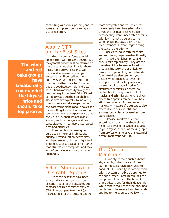controlling wild vines, pruning and, to some extent, prescribed burning and site preparation.

#### Apply CTR on the Best Sites

*The white and red oaks groups have traditionally commanded the highest price and should take top priority.*

Most hardwood forests could benefit from CTR to some degree, but the greatest benefit will be realized on more productive sites. This is where measurable growth response will occur and where returns on your investment will be realized more quickly. Sites with deep, fertile and moist soils, sites protected from hot and dry southwest winds, and sites where hardwood trees typically can reach a height of at least 70 to 75 feet tall in 50 years are the best choices. These sites are typically found along rivers, creeks and drainages, on north and east-facing slopes and in coves and ravines. Ridgetops and slopes with a southern or western exposure are drier and usually support less desirable species, such as blackjack and post oaks, blackgum, red maple, sourwood, elms and hickories.

The condition of trees growing on a site can further indicate site quality. Trees found on better sites will have smooth, thin and tight bark. Their tree tops are expanding (rather than stunted or flat-topped) and they will often have long, merchantable, log length.

#### Select Stands with Desirable Species

Once the best sites have been located, desirable trees must be present. Not all of the best sites are composed of tree species worthy of CTR. Through past treatment (or mistreatment) of the forest, often the more acceptable and valuable trees have already been harvested. Many times, the residual trees were left because they were undesirable species with low market value or poor form. When this is the case, CTR is not recommended. Instead, regenerating the stand is the priority.

Species found within the white and red oaks groups have traditionally commanded the highest price and should take top priority. They are the mainstay of the Tennessee forest products industry and are likely to remain so. Speculating on the trends of future markets also can help you decide which species to favor. For example, market cycles periodically cause sharp increases in price for alternative species such as yellow poplar, black cherry, black walnut, maples and ash. Managing for a diversity of tree species can help you benefit from uncertain future timber markets. A mixture of tree species also offers diversity in wildlife food sources, particularly for smaller nongame species.

Likewise, markets fluctuate according to location. A study of the historical demand for wood products in your region, as well as seeking input from professional foresters, is essential before implementing CTR.

#### Use Correct Materials

A variety of tools such as hatchets, axes, hypo-hatchets and tree stump injectors have been used to conduct CTR, usually in combination with a systemic herbicide applied to the cut surface. Some herbicides can be applied directly to the base of thin-barked trees for their deadening, while others require for the bark and cambium to be severed and herbicide applied to the open cut. Following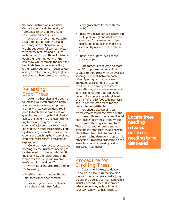the label instructions is crucial. Contact your local University of Tennessee Extension Service for recommended herbicides.

Another reliable method, with regard to both effectiveness and efficiency, is the chainsaw. A lightweight but powerful saw complete with safety features and a 14- to 16 inch bar length is sufficient. Using a double-girdle method with the chainsaw will eliminate the need for herbicide (see procedure section). Other safety equipment, such as ear and eye protection, leg chaps, gloves and steel-toe boots are recommended.

#### Releasing Crop Trees

After the best sites and trees are found and your equipment is ready, you can begin releasing crop trees from unwanted competition. You'll need to locate those crop trees with good future growth potential. Availability of sunlight is the leading limiting factor of tree growth. When crowns of adjacent trees touch each other, growth rates are reduced. Thus, by deadening unwanted trees whose crowns are touching the crown of your crop tree, more space is created for expansion.

Condition your eye to locate trees needing release, **not** trees needing to be deadened. In other words, first find the crop tree, then ask, "Deadening which trees will improve my crop tree's growing condition?"

 When selecting crop trees look for the following:

- Healthy trees those with potential for further development;
- Trees with good form, relatively straight and with few forks;
- Better-grade trees (those with few knots);
- Those whose average age is between 15-30 years old (stands that are too young won't have reached proper height, and older stands might not successfully respond to the release); and,
- Those in the upper levels of the forest canopy.

The target is to release no more than 36 crop trees per acre. This equates to crop trees with an average spacing of 35 feet between each other. Spacing can be increased or decreased according to the stand conditions. For example, some 35 foot cells may not contain an acceptable crop tree, and that cell should be left. As a general guide, at least one-half of the 35 foot cells per acre should contain crop trees for the project to be justifiable.

You should deaden all trees whose crowns touch the crown of the crop tree on three to four sides. Special note: deaden only those trees whose crowns are affecting your crop trees. Those in-between or below and not affecting the crop trees should remain. The leftover trees help to protect crop trees from wind damage and epicormic branching (unwanted branching on the lower bowl often caused by sudden increases in sunlight).

*Locate trees needing release, not trees needing to be deadened.*

#### Procedure for Girdling Trees

Determine the trees to deaden. Using a chainsaw, turn the saw sideways and cut a complete girdle (ring) around the tree at a comfortable height (usually around 3 feet). Use proper safety procedures, as is outlined in your saw safety manual. Then, cut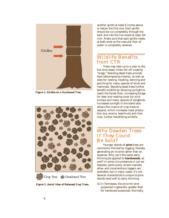

*Figure 1. Girdles on a Hardwood Tree.*



Deadened Tree Crop Tree

*Figure 2. Aerial View of Released Crop Trees.*

another girdle at least 6 inches above or below the first one. Each girdle should be cut completely through the bark and into the live wood at least 3/4 inch. Make sure that each girdle meets at both ends so the vascular flow of water is completely severed.

#### Wildlife Benefits from CTR

Trees may take up to a year to die, but once dead, limbs fall off creating "snags." Standing dead trees provide food (decomposing insects), as well as sites for nesting, roosting, denning and perching for many species of birds and mammals. Standing dead trees further benefit wildlife by allowing sunlight to reach the forest floor, increasing forage for deer and nesting cover for wild turkeys and many species of songbirds. Increased sunlight in the stand also allows the crowns of crop trees to expand, which increases mast production (e.g. acorns, beechnuts and cherries), further benefitting wildlife.

#### Why Deaden Trees If They Could Be Sold?

Younger stands of **pine** trees are commonly thinned by logging, thereby generating an income rather than an expense. Why can't the same early thinning be applied to **hardwoods**, as well? In some circumstances it can be feasible, particularly where markets allow and conscientious loggers are available; but in many cases, it's not. Several characteristics unique to pine stands lend well to early thinning:

(1) In Tennessee, the price for pine pulpwood is generally greater than for hardwood pulpwood. Normally,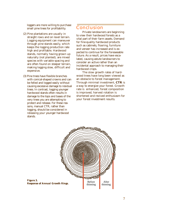loggers are more willing to purchase small pine trees for profitability.

- (2) Pine plantations are usually in straight rows and on level terrain. Logging equipment can maneuver through pine stands easily, which keeps the logging production rate high and profitable. Hardwood stands, normally having grown up naturally (not planted), are mixed species with variable spacing and are often found on steeper terrain, making logging slow, difficult and expensive.
- (3) Pine trees have flexible branches with conical-shaped crowns and can be felled and logged easily without causing excessive damage to residual trees. In contrast, logging younger hardwood stands often results in damage to the tops and bases of the very trees you are attempting to protect and release. For these reasons, manual CTR, rather than logging, should be considered in releasing your younger hardwood stands.

#### Conclusion

Private landowners are beginning to view their hardwood forests as a vital part of their farm assets. Demand for fine-quality hardwood products such as cabinets, flooring, furniture and veneer has increased and is expected to continue for the foreseeable future. As a result, prices have escalated, causing astute landowners to consider an active rather than an incidental approach to managing their hardwood crops.

The slow growth rates of hardwood trees have long been viewed as an obstacle to forest management. Through minimal investment, **CTR** is a way to energize your forest. Growth rate is enhanced, forest composition is improved, harvest rotation is shortened and revived enthusiasm for your forest investment results.



*Figure 3. Response of Annual Growth Rings.*